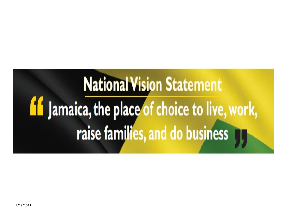# **National Vision Statement If** Jamaica, the place of choice to live, work, raise families, and do business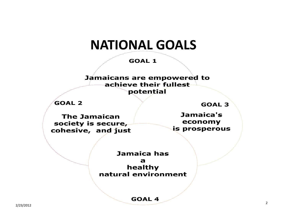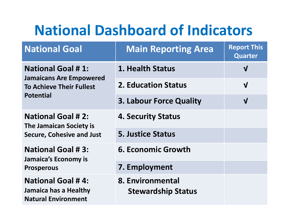# National Dashboard of Indicators

| <b>National Goal</b>                                                                                              | <b>Main Reporting Area</b>                    | <b>Report This</b><br><b>Quarter</b> |
|-------------------------------------------------------------------------------------------------------------------|-----------------------------------------------|--------------------------------------|
| <b>National Goal #1:</b><br><b>Jamaicans Are Empowered</b><br><b>To Achieve Their Fullest</b><br><b>Potential</b> | 1. Health Status                              | $\mathbf{V}$                         |
|                                                                                                                   | <b>2. Education Status</b>                    | $\mathbf V$                          |
|                                                                                                                   | <b>3. Labour Force Quality</b>                | $\mathbf{V}$                         |
| <b>National Goal #2:</b><br><b>The Jamaican Society is</b><br><b>Secure, Cohesive and Just</b>                    | <b>4. Security Status</b>                     |                                      |
|                                                                                                                   | <b>5. Justice Status</b>                      |                                      |
| <b>National Goal #3:</b><br>Jamaica's Economy is<br><b>Prosperous</b>                                             | <b>6. Economic Growth</b>                     |                                      |
|                                                                                                                   | 7. Employment                                 |                                      |
| <b>National Goal #4:</b><br>Jamaica has a Healthy<br><b>Natural Environment</b>                                   | 8. Environmental<br><b>Stewardship Status</b> |                                      |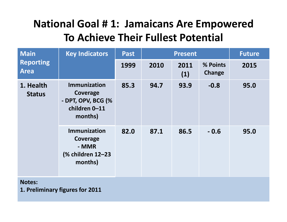# National Goal # 1: Jamaicans Are Empowered To Achieve Their Fullest Potential

| <b>Main</b><br><b>Reporting</b><br><b>Area</b> | <b>Key Indicators</b>                                                             | <b>Past</b> | <b>Present</b> |             |                    | <b>Future</b> |
|------------------------------------------------|-----------------------------------------------------------------------------------|-------------|----------------|-------------|--------------------|---------------|
|                                                |                                                                                   | 1999        | 2010           | 2011<br>(1) | % Points<br>Change | 2015          |
| 1. Health<br><b>Status</b>                     | <b>Immunization</b><br>Coverage<br>- DPT, OPV, BCG (%<br>children 0-11<br>months) | 85.3        | 94.7           | 93.9        | $-0.8$             | 95.0          |
|                                                | <b>Immunization</b><br>Coverage<br>- MMR<br>(% children 12-23<br>months)          | 82.0        | 87.1           | 86.5        | $-0.6$             | 95.0          |

#### Notes:

1. Preliminary figures for 2011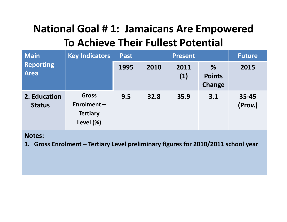# National Goal # 1: Jamaicans Are Empowered To Achieve Their Fullest Potential

| <b>Main</b><br><b>Reporting</b><br><b>Area</b> | <b>Key Indicators</b>                                      | <b>Past</b> |      | <b>Future</b> |                              |                  |
|------------------------------------------------|------------------------------------------------------------|-------------|------|---------------|------------------------------|------------------|
|                                                |                                                            | 1995        | 2010 | 2011<br>(1)   | %<br><b>Points</b><br>Change | 2015             |
| 2. Education<br><b>Status</b>                  | <b>Gross</b><br>Enrolment-<br><b>Tertiary</b><br>Level (%) | 9.5         | 32.8 | 35.9          | 3.1                          | 35-45<br>(Prov.) |

Notes:

1. Gross Enrolment – Tertiary Level preliminary figures for 2010/2011 school year